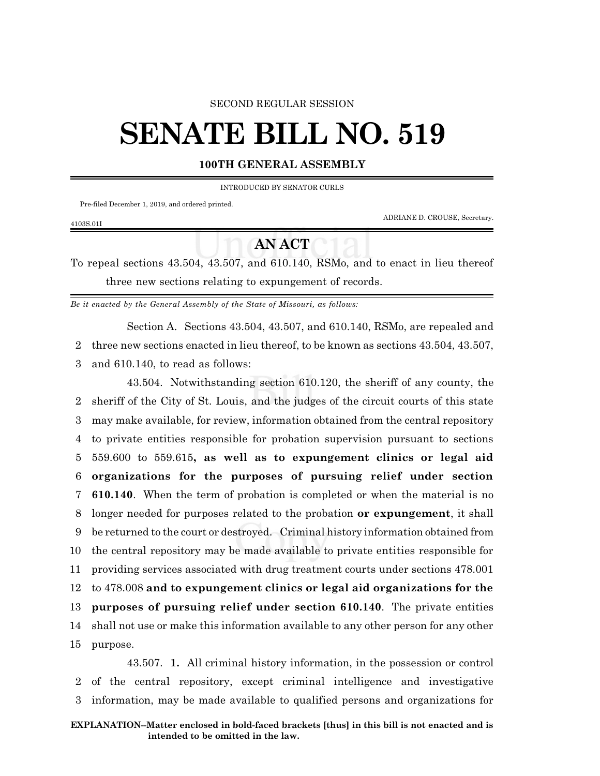#### SECOND REGULAR SESSION

# **SENATE BILL NO. 519**

#### **100TH GENERAL ASSEMBLY**

INTRODUCED BY SENATOR CURLS

Pre-filed December 1, 2019, and ordered printed.

ADRIANE D. CROUSE, Secretary.

### 4103S.01I

## **AN ACT**

To repeal sections 43.504, 43.507, and 610.140, RSMo, and to enact in lieu thereof three new sections relating to expungement of records.

*Be it enacted by the General Assembly of the State of Missouri, as follows:*

Section A. Sections 43.504, 43.507, and 610.140, RSMo, are repealed and 2 three new sections enacted in lieu thereof, to be known as sections 43.504, 43.507, 3 and 610.140, to read as follows:

43.504. Notwithstanding section 610.120, the sheriff of any county, the sheriff of the City of St. Louis, and the judges of the circuit courts of this state may make available, for review, information obtained from the central repository to private entities responsible for probation supervision pursuant to sections 559.600 to 559.615**, as well as to expungement clinics or legal aid organizations for the purposes of pursuing relief under section 610.140**. When the term of probation is completed or when the material is no longer needed for purposes related to the probation **or expungement**, it shall be returned to the court or destroyed. Criminal history information obtained from the central repository may be made available to private entities responsible for providing services associated with drug treatment courts under sections 478.001 to 478.008 **and to expungement clinics or legal aid organizations for the purposes of pursuing relief under section 610.140**. The private entities shall not use or make this information available to any other person for any other 15 purpose.

43.507. **1.** All criminal history information, in the possession or control 2 of the central repository, except criminal intelligence and investigative 3 information, may be made available to qualified persons and organizations for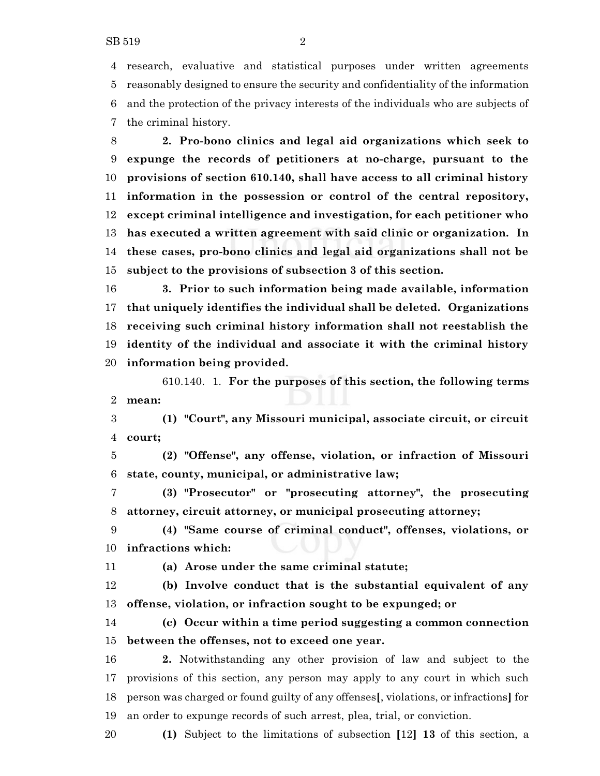research, evaluative and statistical purposes under written agreements reasonably designed to ensure the security and confidentiality of the information and the protection of the privacy interests of the individuals who are subjects of the criminal history.

 **2. Pro-bono clinics and legal aid organizations which seek to expunge the records of petitioners at no-charge, pursuant to the provisions of section 610.140, shall have access to all criminal history information in the possession or control of the central repository, except criminal intelligence and investigation, for each petitioner who has executed a written agreement with said clinic or organization. In these cases, pro-bono clinics and legal aid organizations shall not be subject to the provisions of subsection 3 of this section.**

 **3. Prior to such information being made available, information that uniquely identifies the individual shall be deleted. Organizations receiving such criminal history information shall not reestablish the identity of the individual and associate it with the criminal history information being provided.**

610.140. 1. **For the purposes of this section, the following terms mean:**

 **(1) "Court", any Missouri municipal, associate circuit, or circuit court;**

 **(2) "Offense", any offense, violation, or infraction of Missouri state, county, municipal, or administrative law;**

 **(3) "Prosecutor" or "prosecuting attorney", the prosecuting attorney, circuit attorney, or municipal prosecuting attorney;**

 **(4) "Same course of criminal conduct", offenses, violations, or infractions which:**

**(a) Arose under the same criminal statute;**

 **(b) Involve conduct that is the substantial equivalent of any offense, violation, or infraction sought to be expunged; or**

 **(c) Occur within a time period suggesting a common connection between the offenses, not to exceed one year.**

 **2.** Notwithstanding any other provision of law and subject to the provisions of this section, any person may apply to any court in which such person was charged or found guilty of any offenses**[**, violations, or infractions**]** for an order to expunge records of such arrest, plea, trial, or conviction.

**(1)** Subject to the limitations of subsection **[**12**] 13** of this section, a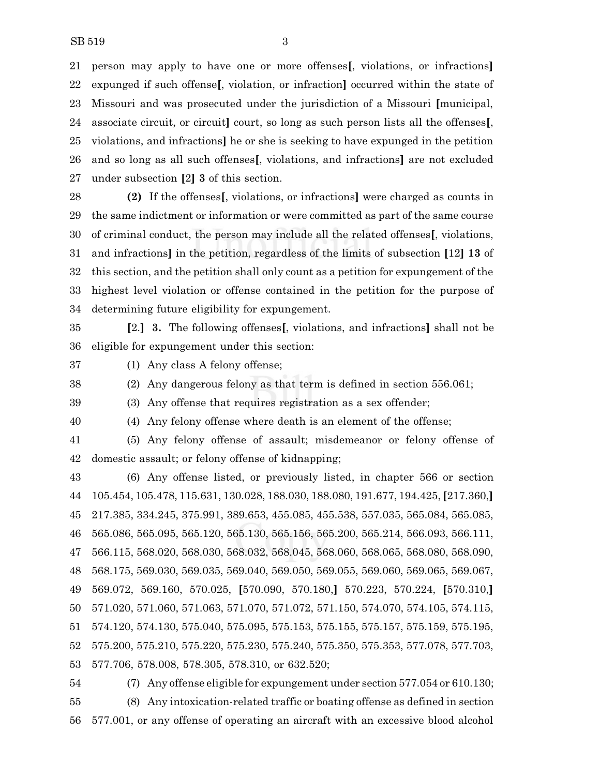person may apply to have one or more offenses**[**, violations, or infractions**]** expunged if such offense**[**, violation, or infraction**]** occurred within the state of Missouri and was prosecuted under the jurisdiction of a Missouri **[**municipal, associate circuit, or circuit**]** court, so long as such person lists all the offenses**[**, violations, and infractions**]** he or she is seeking to have expunged in the petition and so long as all such offenses**[**, violations, and infractions**]** are not excluded under subsection **[**2**] 3** of this section.

 **(2)** If the offenses**[**, violations, or infractions**]** were charged as counts in the same indictment or information or were committed as part of the same course of criminal conduct, the person may include all the related offenses**[**, violations, and infractions**]** in the petition, regardless of the limits of subsection **[**12**] 13** of this section, and the petition shall only count as a petition for expungement of the highest level violation or offense contained in the petition for the purpose of determining future eligibility for expungement.

 **[**2.**] 3.** The following offenses**[**, violations, and infractions**]** shall not be eligible for expungement under this section:

(1) Any class A felony offense;

(2) Any dangerous felony as that term is defined in section 556.061;

 (3) Any offense that requires registration as a sex offender; (4) Any felony offense where death is an element of the offense;

 (5) Any felony offense of assault; misdemeanor or felony offense of domestic assault; or felony offense of kidnapping;

 (6) Any offense listed, or previously listed, in chapter 566 or section 105.454, 105.478, 115.631, 130.028, 188.030, 188.080, 191.677, 194.425,**[**217.360,**]** 217.385, 334.245, 375.991, 389.653, 455.085, 455.538, 557.035, 565.084, 565.085, 565.086, 565.095, 565.120, 565.130, 565.156, 565.200, 565.214, 566.093, 566.111, 566.115, 568.020, 568.030, 568.032, 568.045, 568.060, 568.065, 568.080, 568.090, 568.175, 569.030, 569.035, 569.040, 569.050, 569.055, 569.060, 569.065, 569.067, 569.072, 569.160, 570.025, **[**570.090, 570.180,**]** 570.223, 570.224, **[**570.310,**]** 571.020, 571.060, 571.063, 571.070, 571.072, 571.150, 574.070, 574.105, 574.115, 574.120, 574.130, 575.040, 575.095, 575.153, 575.155, 575.157, 575.159, 575.195, 575.200, 575.210, 575.220, 575.230, 575.240, 575.350, 575.353, 577.078, 577.703, 577.706, 578.008, 578.305, 578.310, or 632.520;

 (7) Any offense eligible for expungement under section 577.054 or 610.130; (8) Any intoxication-related traffic or boating offense as defined in section 577.001, or any offense of operating an aircraft with an excessive blood alcohol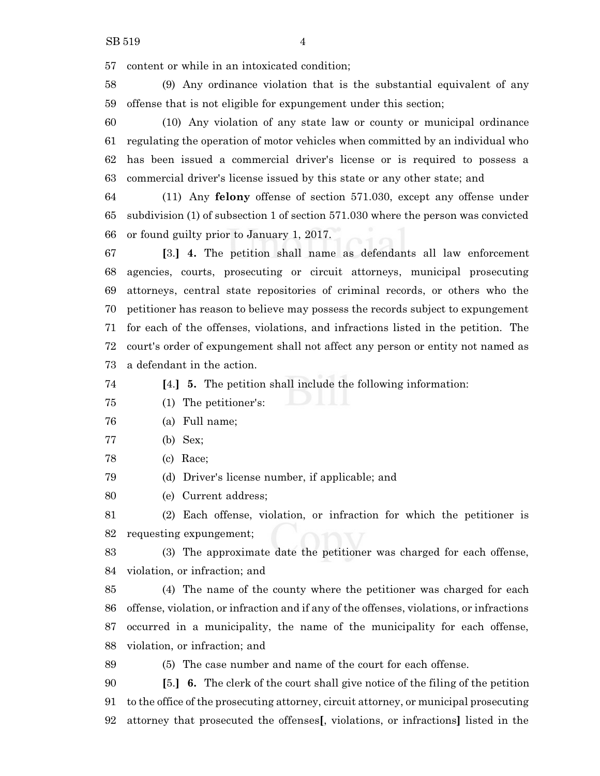content or while in an intoxicated condition;

 (9) Any ordinance violation that is the substantial equivalent of any offense that is not eligible for expungement under this section;

 (10) Any violation of any state law or county or municipal ordinance regulating the operation of motor vehicles when committed by an individual who has been issued a commercial driver's license or is required to possess a commercial driver's license issued by this state or any other state; and

 (11) Any **felony** offense of section 571.030, except any offense under subdivision (1) of subsection 1 of section 571.030 where the person was convicted or found guilty prior to January 1, 2017.

 **[**3.**] 4.** The petition shall name as defendants all law enforcement agencies, courts, prosecuting or circuit attorneys, municipal prosecuting attorneys, central state repositories of criminal records, or others who the petitioner has reason to believe may possess the records subject to expungement for each of the offenses, violations, and infractions listed in the petition. The court's order of expungement shall not affect any person or entity not named as a defendant in the action.

**[**4.**] 5.** The petition shall include the following information:

- (1) The petitioner's:
- (a) Full name;
- (b) Sex;
- (c) Race;

(d) Driver's license number, if applicable; and

(e) Current address;

 (2) Each offense, violation, or infraction for which the petitioner is requesting expungement;

 (3) The approximate date the petitioner was charged for each offense, violation, or infraction; and

 (4) The name of the county where the petitioner was charged for each offense, violation, or infraction and if any of the offenses, violations, or infractions occurred in a municipality, the name of the municipality for each offense, violation, or infraction; and

(5) The case number and name of the court for each offense.

 **[**5.**] 6.** The clerk of the court shall give notice of the filing of the petition to the office of the prosecuting attorney, circuit attorney, or municipal prosecuting attorney that prosecuted the offenses**[**, violations, or infractions**]** listed in the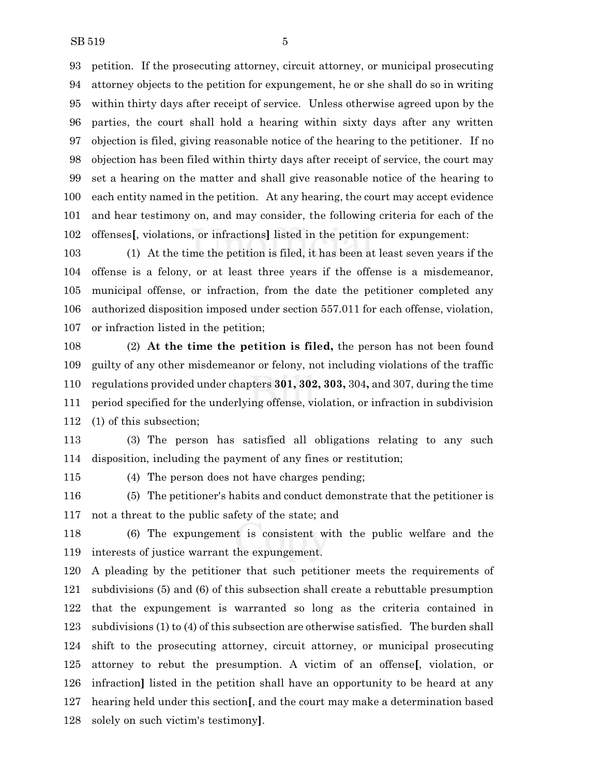petition. If the prosecuting attorney, circuit attorney, or municipal prosecuting attorney objects to the petition for expungement, he or she shall do so in writing within thirty days after receipt of service. Unless otherwise agreed upon by the parties, the court shall hold a hearing within sixty days after any written objection is filed, giving reasonable notice of the hearing to the petitioner. If no objection has been filed within thirty days after receipt of service, the court may set a hearing on the matter and shall give reasonable notice of the hearing to each entity named in the petition. At any hearing, the court may accept evidence and hear testimony on, and may consider, the following criteria for each of the offenses**[**, violations, or infractions**]** listed in the petition for expungement:

 (1) At the time the petition is filed, it has been at least seven years if the offense is a felony, or at least three years if the offense is a misdemeanor, municipal offense, or infraction, from the date the petitioner completed any authorized disposition imposed under section 557.011 for each offense, violation, or infraction listed in the petition;

 (2) **At the time the petition is filed,** the person has not been found guilty of any other misdemeanor or felony, not including violations of the traffic regulations provided under chapters **301, 302, 303,** 304**,** and 307, during the time period specified for the underlying offense, violation, or infraction in subdivision (1) of this subsection;

 (3) The person has satisfied all obligations relating to any such disposition, including the payment of any fines or restitution;

(4) The person does not have charges pending;

 (5) The petitioner's habits and conduct demonstrate that the petitioner is not a threat to the public safety of the state; and

 (6) The expungement is consistent with the public welfare and the interests of justice warrant the expungement.

 A pleading by the petitioner that such petitioner meets the requirements of subdivisions (5) and (6) of this subsection shall create a rebuttable presumption that the expungement is warranted so long as the criteria contained in subdivisions (1) to (4) of this subsection are otherwise satisfied. The burden shall shift to the prosecuting attorney, circuit attorney, or municipal prosecuting attorney to rebut the presumption. A victim of an offense**[**, violation, or infraction**]** listed in the petition shall have an opportunity to be heard at any hearing held under this section**[**, and the court may make a determination based solely on such victim's testimony**]**.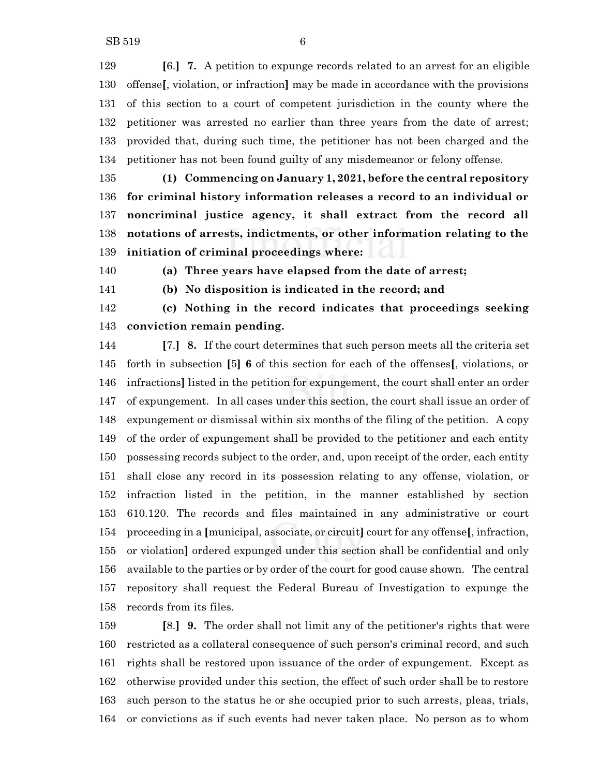**[**6.**] 7.** A petition to expunge records related to an arrest for an eligible offense**[**, violation, or infraction**]** may be made in accordance with the provisions of this section to a court of competent jurisdiction in the county where the petitioner was arrested no earlier than three years from the date of arrest; provided that, during such time, the petitioner has not been charged and the petitioner has not been found guilty of any misdemeanor or felony offense.

 **(1) Commencing on January 1, 2021, before the central repository for criminal history information releases a record to an individual or noncriminal justice agency, it shall extract from the record all notations of arrests, indictments, or other information relating to the initiation of criminal proceedings where:**

**(a) Three years have elapsed from the date of arrest;**

**(b) No disposition is indicated in the record; and**

 **(c) Nothing in the record indicates that proceedings seeking conviction remain pending.**

 **[**7.**] 8.** If the court determines that such person meets all the criteria set forth in subsection **[**5**] 6** of this section for each of the offenses**[**, violations, or infractions**]** listed in the petition for expungement, the court shall enter an order of expungement. In all cases under this section, the court shall issue an order of expungement or dismissal within six months of the filing of the petition. A copy of the order of expungement shall be provided to the petitioner and each entity possessing records subject to the order, and, upon receipt of the order, each entity shall close any record in its possession relating to any offense, violation, or infraction listed in the petition, in the manner established by section 610.120. The records and files maintained in any administrative or court proceeding in a **[**municipal, associate, or circuit**]** court for any offense**[**, infraction, or violation**]** ordered expunged under this section shall be confidential and only available to the parties or by order of the court for good cause shown. The central repository shall request the Federal Bureau of Investigation to expunge the records from its files.

 **[**8.**] 9.** The order shall not limit any of the petitioner's rights that were restricted as a collateral consequence of such person's criminal record, and such rights shall be restored upon issuance of the order of expungement. Except as otherwise provided under this section, the effect of such order shall be to restore such person to the status he or she occupied prior to such arrests, pleas, trials, or convictions as if such events had never taken place. No person as to whom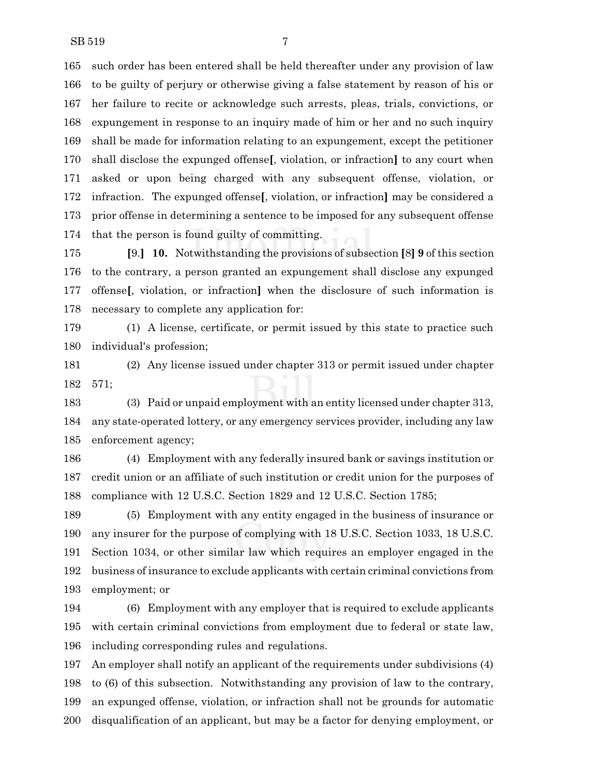such order has been entered shall be held thereafter under any provision of law to be guilty of perjury or otherwise giving a false statement by reason of his or her failure to recite or acknowledge such arrests, pleas, trials, convictions, or expungement in response to an inquiry made of him or her and no such inquiry shall be made for information relating to an expungement, except the petitioner shall disclose the expunged offense**[**, violation, or infraction**]** to any court when asked or upon being charged with any subsequent offense, violation, or infraction. The expunged offense**[**, violation, or infraction**]** may be considered a prior offense in determining a sentence to be imposed for any subsequent offense that the person is found guilty of committing.

 **[**9.**] 10.** Notwithstanding the provisions of subsection **[**8**] 9** of this section to the contrary, a person granted an expungement shall disclose any expunged offense**[**, violation, or infraction**]** when the disclosure of such information is necessary to complete any application for:

 (1) A license, certificate, or permit issued by this state to practice such individual's profession;

 (2) Any license issued under chapter 313 or permit issued under chapter 571;

 (3) Paid or unpaid employment with an entity licensed under chapter 313, any state-operated lottery, or any emergency services provider, including any law enforcement agency;

 (4) Employment with any federally insured bank or savings institution or credit union or an affiliate of such institution or credit union for the purposes of compliance with 12 U.S.C. Section 1829 and 12 U.S.C. Section 1785;

 (5) Employment with any entity engaged in the business of insurance or any insurer for the purpose of complying with 18 U.S.C. Section 1033, 18 U.S.C. Section 1034, or other similar law which requires an employer engaged in the business of insurance to exclude applicants with certain criminal convictions from employment; or

 (6) Employment with any employer that is required to exclude applicants with certain criminal convictions from employment due to federal or state law, including corresponding rules and regulations.

 An employer shall notify an applicant of the requirements under subdivisions (4) to (6) of this subsection. Notwithstanding any provision of law to the contrary, an expunged offense, violation, or infraction shall not be grounds for automatic disqualification of an applicant, but may be a factor for denying employment, or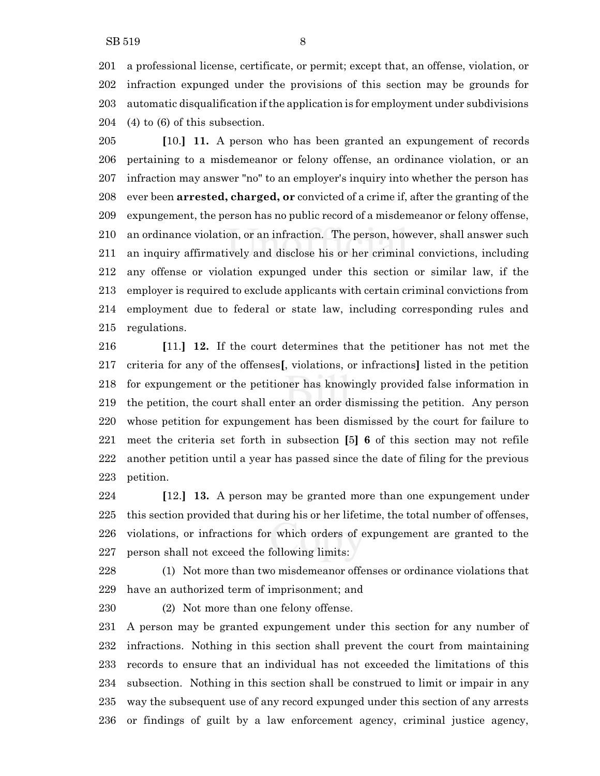a professional license, certificate, or permit; except that, an offense, violation, or infraction expunged under the provisions of this section may be grounds for automatic disqualification ifthe application is for employment under subdivisions (4) to (6) of this subsection.

 **[**10.**] 11.** A person who has been granted an expungement of records pertaining to a misdemeanor or felony offense, an ordinance violation, or an infraction may answer "no" to an employer's inquiry into whether the person has ever been **arrested, charged, or** convicted of a crime if, after the granting of the expungement, the person has no public record of a misdemeanor or felony offense, an ordinance violation, or an infraction. The person, however, shall answer such an inquiry affirmatively and disclose his or her criminal convictions, including any offense or violation expunged under this section or similar law, if the employer is required to exclude applicants with certain criminal convictions from employment due to federal or state law, including corresponding rules and regulations.

 **[**11.**] 12.** If the court determines that the petitioner has not met the criteria for any of the offenses**[**, violations, or infractions**]** listed in the petition for expungement or the petitioner has knowingly provided false information in the petition, the court shall enter an order dismissing the petition. Any person whose petition for expungement has been dismissed by the court for failure to meet the criteria set forth in subsection **[**5**] 6** of this section may not refile another petition until a year has passed since the date of filing for the previous petition.

 **[**12.**] 13.** A person may be granted more than one expungement under this section provided that during his or her lifetime, the total number of offenses, violations, or infractions for which orders of expungement are granted to the person shall not exceed the following limits:

 (1) Not more than two misdemeanor offenses or ordinance violations that have an authorized term of imprisonment; and

(2) Not more than one felony offense.

 A person may be granted expungement under this section for any number of infractions. Nothing in this section shall prevent the court from maintaining records to ensure that an individual has not exceeded the limitations of this subsection. Nothing in this section shall be construed to limit or impair in any way the subsequent use of any record expunged under this section of any arrests or findings of guilt by a law enforcement agency, criminal justice agency,